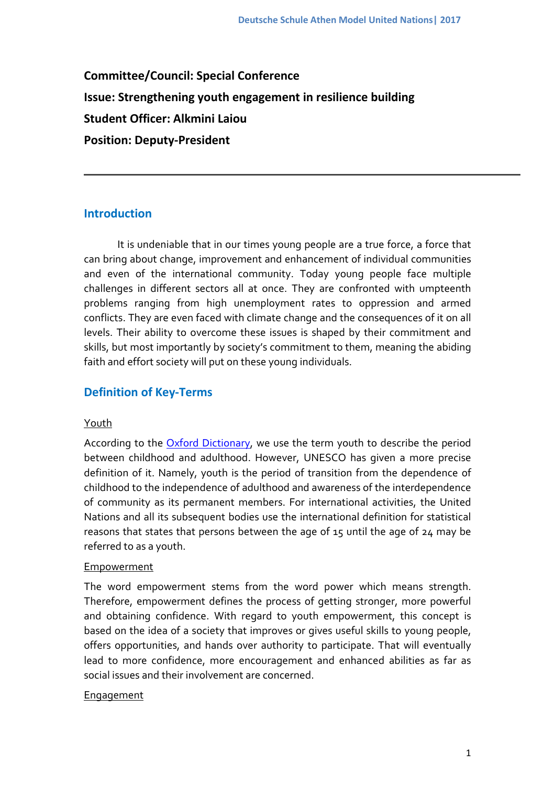**Committee/Council: Special Conference Issue: Strengthening youth engagement in resilience building Student Officer: Alkmini Laiou Position: Deputy-President**

## **Introduction**

It is undeniable that in our times young people are a true force, a force that can bring about change, improvement and enhancement of individual communities and even of the international community. Today young people face multiple challenges in different sectors all at once. They are confronted with umpteenth problems ranging from high unemployment rates to oppression and armed conflicts. They are even faced with climate change and the consequences of it on all levels. Their ability to overcome these issues is shaped by their commitment and skills, but most importantly by society's commitment to them, meaning the abiding faith and effort society will put on these young individuals.

## **Definition of Key-Terms**

## Youth

According to the Oxford [Dictionary,](https://en.oxforddictionaries.com/definition/youth) we use the term youth to describe the period between childhood and adulthood. However, UNESCO has given a more precise definition of it. Namely, youth is the period of transition from the dependence of childhood to the independence of adulthood and awareness of the interdependence of community as its permanent members. For international activities, the United Nations and all its subsequent bodies use the international definition for statistical reasons that states that persons between the age of 15 until the age of 24 may be referred to as a youth.

#### **Empowerment**

The word empowerment stems from the word power which means strength. Therefore, empowerment defines the process of getting stronger, more powerful and obtaining confidence. With regard to youth empowerment, this concept is based on the idea of a society that improves or gives useful skills to young people, offers opportunities, and hands over authority to participate. That will eventually lead to more confidence, more encouragement and enhanced abilities as far as social issues and their involvement are concerned.

#### **Engagement**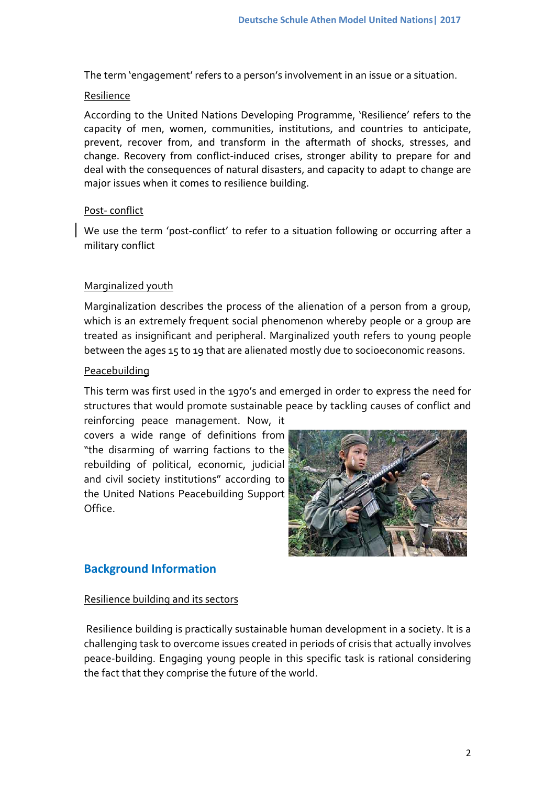The term 'engagement' refers to a person's involvement in an issue or a situation.

#### Resilience

According to the United Nations Developing Programme, 'Resilience' refers to the capacity of men, women, communities, institutions, and countries to anticipate, prevent, recover from, and transform in the aftermath of shocks, stresses, and change. Recovery from conflict-induced crises, stronger ability to prepare for and deal with the consequences of natural disasters, and capacity to adapt to change are major issues when it comes to resilience building.

## Post- conflict

We use the term 'post-conflict' to refer to a situation following or occurring after a military conflict

## Marginalized youth

Marginalization describes the process of the alienation of a person from a group, which is an extremely frequent social phenomenon whereby people or a group are treated as insignificant and peripheral. Marginalized youth refers to young people between the ages 15 to 19 that are alienated mostly due to socioeconomic reasons.

## **Peacebuilding**

This term was first used in the 1970's and emerged in order to express the need for structures that would promote sustainable peace by tackling causes of conflict and reinforcing peace management. Now, it

covers a wide range of definitions from "the disarming of warring factions to the rebuilding of political, economic, judicial and civil society institutions" according to the United Nations Peacebuilding Support Office.



## **Background Information**

## Resilience building and its sectors

Resilience building is practically sustainable human development in a society. It is a challenging task to overcome issues created in periods of crisis that actually involves peace-building. Engaging young people in this specific task is rational considering the fact that they comprise the future of the world.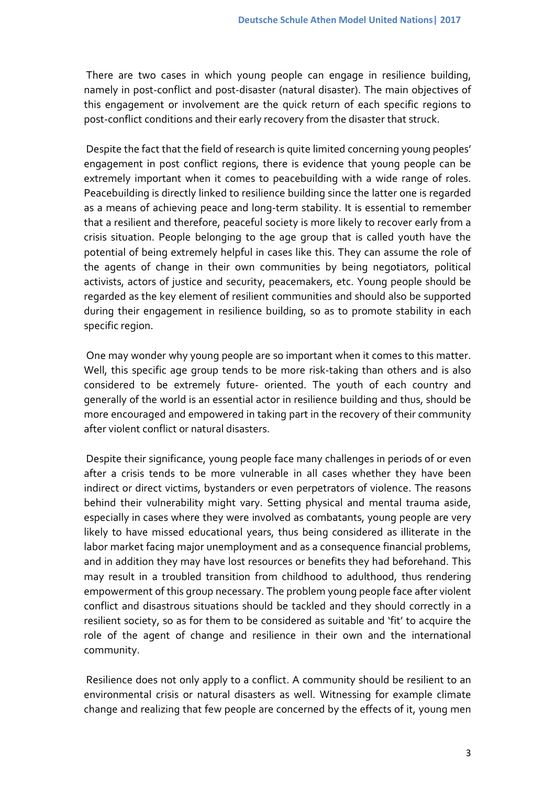There are two cases in which young people can engage in resilience building, namely in post-conflict and post-disaster (natural disaster). The main objectives of this engagement or involvement are the quick return of each specific regions to post-conflict conditions and their early recovery from the disaster that struck.

Despite the fact that the field of research is quite limited concerning young peoples' engagement in post conflict regions, there is evidence that young people can be extremely important when it comes to peacebuilding with a wide range of roles. Peacebuilding is directly linked to resilience building since the latter one is regarded as a means of achieving peace and long-term stability. It is essential to remember that a resilient and therefore, peaceful society is more likely to recover early from a crisis situation. People belonging to the age group that is called youth have the potential of being extremely helpful in cases like this. They can assume the role of the agents of change in their own communities by being negotiators, political activists, actors of justice and security, peacemakers, etc. Young people should be regarded as the key element of resilient communities and should also be supported during their engagement in resilience building, so as to promote stability in each specific region.

One may wonder why young people are so important when it comes to this matter. Well, this specific age group tends to be more risk-taking than others and is also considered to be extremely future- oriented. The youth of each country and generally of the world is an essential actor in resilience building and thus, should be more encouraged and empowered in taking part in the recovery of their community after violent conflict or natural disasters.

Despite their significance, young people face many challenges in periods of or even after a crisis tends to be more vulnerable in all cases whether they have been indirect or direct victims, bystanders or even perpetrators of violence. The reasons behind their vulnerability might vary. Setting physical and mental trauma aside, especially in cases where they were involved as combatants, young people are very likely to have missed educational years, thus being considered as illiterate in the labor market facing major unemployment and as a consequence financial problems, and in addition they may have lost resources or benefits they had beforehand. This may result in a troubled transition from childhood to adulthood, thus rendering empowerment of this group necessary. The problem young people face after violent conflict and disastrous situations should be tackled and they should correctly in a resilient society, so as for them to be considered as suitable and 'fit' to acquire the role of the agent of change and resilience in their own and the international community.

Resilience does not only apply to a conflict. A community should be resilient to an environmental crisis or natural disasters as well. Witnessing for example climate change and realizing that few people are concerned by the effects of it, young men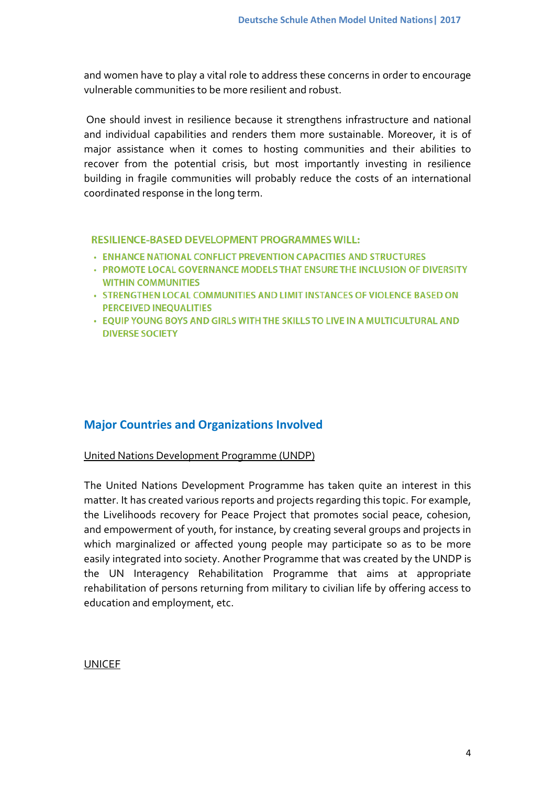and women have to play a vital role to address these concerns in order to encourage vulnerable communities to be more resilient and robust.

One should invest in resilience because it strengthens infrastructure and national and individual capabilities and renders them more sustainable. Moreover, it is of major assistance when it comes to hosting communities and their abilities to recover from the potential crisis, but most importantly investing in resilience building in fragile communities will probably reduce the costs of an international coordinated response in the long term.

## **RESILIENCE-BASED DEVELOPMENT PROGRAMMES WILL:**

- **ENHANCE NATIONAL CONFLICT PREVENTION CAPACITIES AND STRUCTURES**
- PROMOTE LOCAL GOVERNANCE MODELS THAT ENSURE THE INCLUSION OF DIVERSITY **WITHIN COMMUNITIES**
- STRENGTHEN LOCAL COMMUNITIES AND LIMIT INSTANCES OF VIOLENCE BASED ON **PERCEIVED INEOUALITIES**
- EQUIP YOUNG BOYS AND GIRLS WITH THE SKILLS TO LIVE IN A MULTICULTURAL AND **DIVERSE SOCIETY**

## **Major Countries and Organizations Involved**

#### United Nations Development Programme (UNDP)

The United Nations Development Programme has taken quite an interest in this matter. It has created various reports and projects regarding this topic. For example, the Livelihoods recovery for Peace Project that promotes social peace, cohesion, and empowerment of youth, for instance, by creating several groups and projects in which marginalized or affected young people may participate so as to be more easily integrated into society. Another Programme that was created by the UNDP is the UN Interagency Rehabilitation Programme that aims at appropriate rehabilitation of persons returning from military to civilian life by offering access to education and employment, etc.

#### UNICEF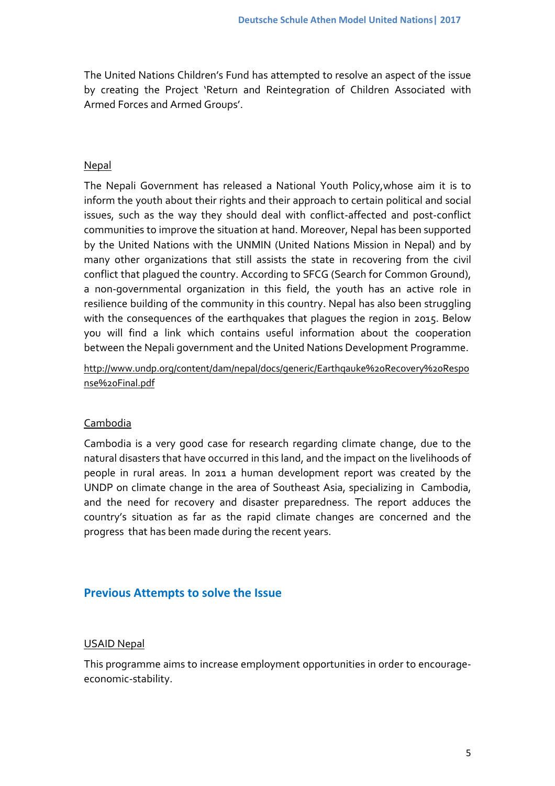The United Nations Children's Fund has attempted to resolve an aspect of the issue by creating the Project 'Return and Reintegration of Children Associated with Armed Forces and Armed Groups'.

## Nepal

The Nepali Government has released a National Youth Policy,whose aim it is to inform the youth about their rights and their approach to certain political and social issues, such as the way they should deal with conflict-affected and post-conflict communities to improve the situation at hand. Moreover, Nepal has been supported by the United Nations with the UNMIN (United Nations Mission in Nepal) and by many other organizations that still assists the state in recovering from the civil conflict that plagued the country. According to SFCG (Search for Common Ground), a non-governmental organization in this field, the youth has an active role in resilience building of the community in this country. Nepal has also been struggling with the consequences of the earthquakes that plagues the region in 2015. Below you will find a link which contains useful information about the cooperation between the Nepali government and the United Nations Development Programme.

[http://www.undp.org/content/dam/nepal/docs/generic/Earthqauke%20Recovery%20Respo](http://www.undp.org/content/dam/nepal/docs/generic/Earthqauke%20Recovery%20Response%20Final.pdf) [nse%20Final.pdf](http://www.undp.org/content/dam/nepal/docs/generic/Earthqauke%20Recovery%20Response%20Final.pdf)

#### Cambodia

Cambodia is a very good case for research regarding climate change, due to the natural disasters that have occurred in this land, and the impact on the livelihoods of people in rural areas. In 2011 a human development report was created by the UNDP on climate change in the area of Southeast Asia, specializing in Cambodia, and the need for recovery and disaster preparedness. The report adduces the country's situation as far as the rapid climate changes are concerned and the progress that has been made during the recent years.

#### **Previous Attempts to solve the Issue**

#### USAID Nepal

This programme aims to increase employment opportunities in order to encourageeconomic-stability.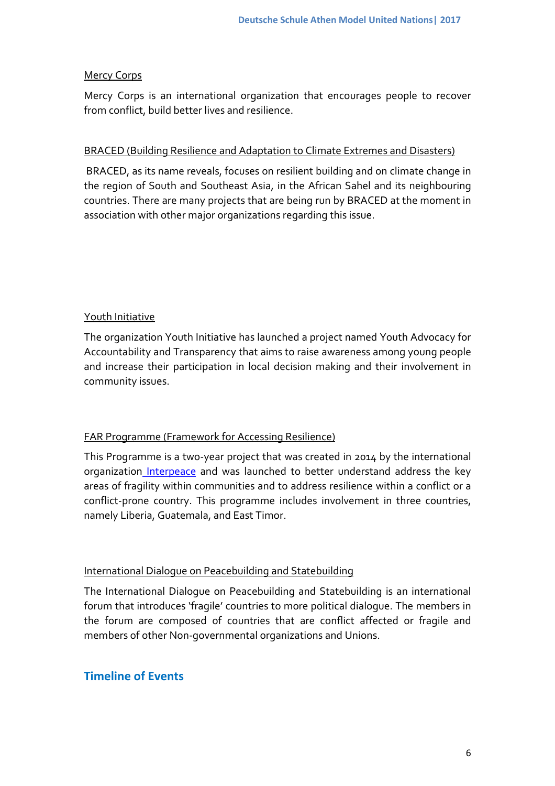## Mercy Corps

Mercy Corps is an international organization that encourages people to recover from conflict, build better lives and resilience.

## BRACED (Building Resilience and Adaptation to Climate Extremes and Disasters)

BRACED, as its name reveals, focuses on resilient building and on climate change in the region of South and Southeast Asia, in the African Sahel and its neighbouring countries. There are many projects that are being run by BRACED at the moment in association with other major organizations regarding this issue.

## Youth Initiative

The organization Youth Initiative has launched a project named Youth Advocacy for Accountability and Transparency that aims to raise awareness among young people and increase their participation in local decision making and their involvement in community issues.

## FAR Programme (Framework for Accessing Resilience)

This Programme is a two-year project that was created in 2014 by the international organization [Interpeace](#page-9-0) and was launched to better understand address the key areas of fragility within communities and to address resilience within a conflict or a conflict-prone country. This programme includes involvement in three countries, namely Liberia, Guatemala, and East Timor.

## International Dialogue on Peacebuilding and Statebuilding

The International Dialogue on Peacebuilding and Statebuilding is an international forum that introduces 'fragile' countries to more political dialogue. The members in the forum are composed of countries that are conflict affected or fragile and members of other Non-governmental organizations and Unions.

# **Timeline of Events**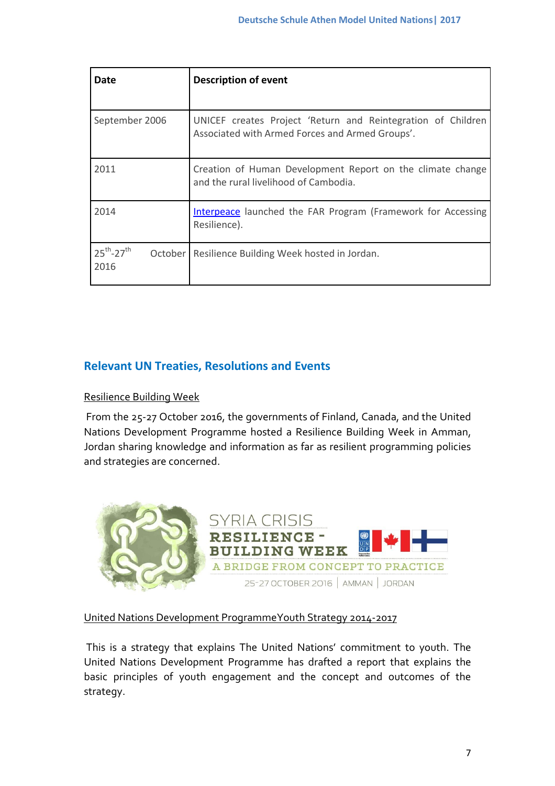| Date                                     | <b>Description of event</b>                                                                                     |
|------------------------------------------|-----------------------------------------------------------------------------------------------------------------|
| September 2006                           | UNICEF creates Project 'Return and Reintegration of Children<br>Associated with Armed Forces and Armed Groups'. |
| 2011                                     | Creation of Human Development Report on the climate change<br>and the rural livelihood of Cambodia.             |
| 2014                                     | <b>Interpeace</b> launched the FAR Program (Framework for Accessing<br>Resilience).                             |
| $25^{th} - 27^{th}$<br>October I<br>2016 | Resilience Building Week hosted in Jordan.                                                                      |

## **Relevant UN Treaties, Resolutions and Events**

## Resilience Building Week

From the 25-27 October 2016, the governments of Finland, Canada, and the United Nations Development Programme hosted a Resilience Building Week in Amman, Jordan sharing knowledge and information as far as resilient programming policies and strategies are concerned.



## United Nations Development ProgrammeYouth Strategy 2014-2017

This is a strategy that explains The United Nations' commitment to youth. The United Nations Development Programme has drafted a report that explains the basic principles of youth engagement and the concept and outcomes of the strategy.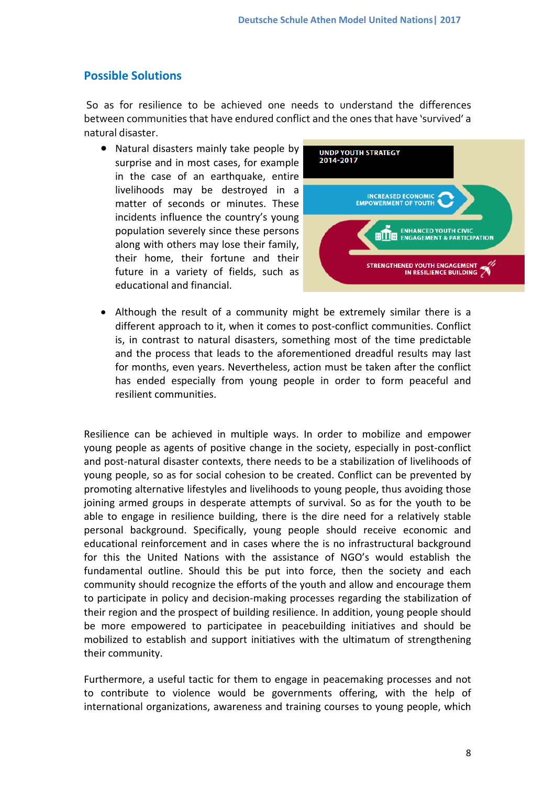# **Possible Solutions**

So as for resilience to be achieved one needs to understand the differences between communities that have endured conflict and the ones that have 'survived' a natural disaster.

 Natural disasters mainly take people by surprise and in most cases, for example in the case of an earthquake, entire livelihoods may be destroyed in a matter of seconds or minutes. These incidents influence the country's young population severely since these persons along with others may lose their family, their home, their fortune and their future in a variety of fields, such as educational and financial.



 Although the result of a community might be extremely similar there is a different approach to it, when it comes to post-conflict communities. Conflict is, in contrast to natural disasters, something most of the time predictable and the process that leads to the aforementioned dreadful results may last for months, even years. Nevertheless, action must be taken after the conflict has ended especially from young people in order to form peaceful and resilient communities.

Resilience can be achieved in multiple ways. In order to mobilize and empower young people as agents of positive change in the society, especially in post-conflict and post-natural disaster contexts, there needs to be a stabilization of livelihoods of young people, so as for social cohesion to be created. Conflict can be prevented by promoting alternative lifestyles and livelihoods to young people, thus avoiding those joining armed groups in desperate attempts of survival. So as for the youth to be able to engage in resilience building, there is the dire need for a relatively stable personal background. Specifically, young people should receive economic and educational reinforcement and in cases where the is no infrastructural background for this the United Nations with the assistance of NGO's would establish the fundamental outline. Should this be put into force, then the society and each community should recognize the efforts of the youth and allow and encourage them to participate in policy and decision-making processes regarding the stabilization of their region and the prospect of building resilience. In addition, young people should be more empowered to participatee in peacebuilding initiatives and should be mobilized to establish and support initiatives with the ultimatum of strengthening their community.

Furthermore, a useful tactic for them to engage in peacemaking processes and not to contribute to violence would be governments offering, with the help of international organizations, awareness and training courses to young people, which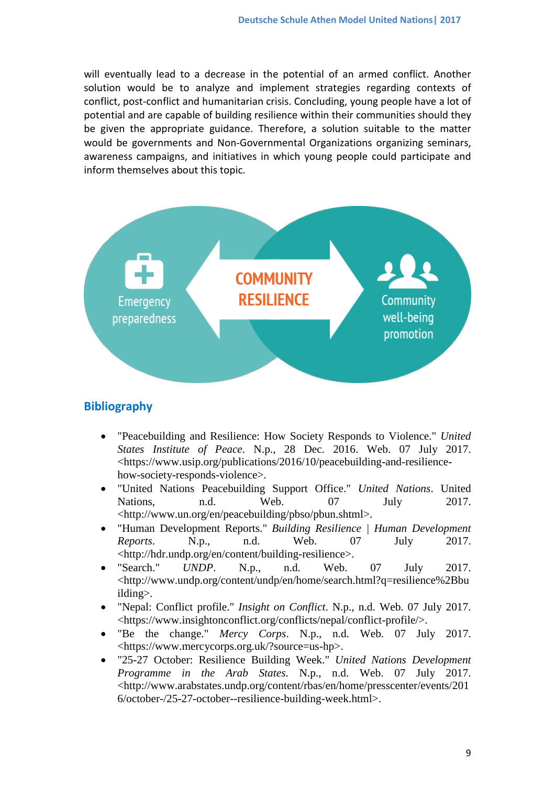will eventually lead to a decrease in the potential of an armed conflict. Another solution would be to analyze and implement strategies regarding contexts of conflict, post-conflict and humanitarian crisis. Concluding, young people have a lot of potential and are capable of building resilience within their communities should they be given the appropriate guidance. Therefore, a solution suitable to the matter would be governments and Non-Governmental Organizations organizing seminars, awareness campaigns, and initiatives in which young people could participate and inform themselves about this topic.



## **Bibliography**

- "Peacebuilding and Resilience: How Society Responds to Violence." *United States Institute of Peace*. N.p., 28 Dec. 2016. Web. 07 July 2017. <https://www.usip.org/publications/2016/10/peacebuilding-and-resiliencehow-society-responds-violence>.
- "United Nations Peacebuilding Support Office." *United Nations*. United Nations, n.d. Web. 07 July 2017. <http://www.un.org/en/peacebuilding/pbso/pbun.shtml>.
- "Human Development Reports." *Building Resilience | Human Development Reports*. N.p., n.d. Web. 07 July 2017. <http://hdr.undp.org/en/content/building-resilience>.
- "Search." *UNDP*. N.p., n.d. Web. 07 July 2017. <http://www.undp.org/content/undp/en/home/search.html?q=resilience%2Bbu ilding>.
- "Nepal: Conflict profile." *Insight on Conflict*. N.p., n.d. Web. 07 July 2017. <https://www.insightonconflict.org/conflicts/nepal/conflict-profile/>.
- "Be the change." *Mercy Corps*. N.p., n.d. Web. 07 July 2017. <https://www.mercycorps.org.uk/?source=us-hp>.
- "25-27 October: Resilience Building Week." *United Nations Development Programme in the Arab States*. N.p., n.d. Web. 07 July 2017. <http://www.arabstates.undp.org/content/rbas/en/home/presscenter/events/201 6/october-/25-27-october--resilience-building-week.html>.